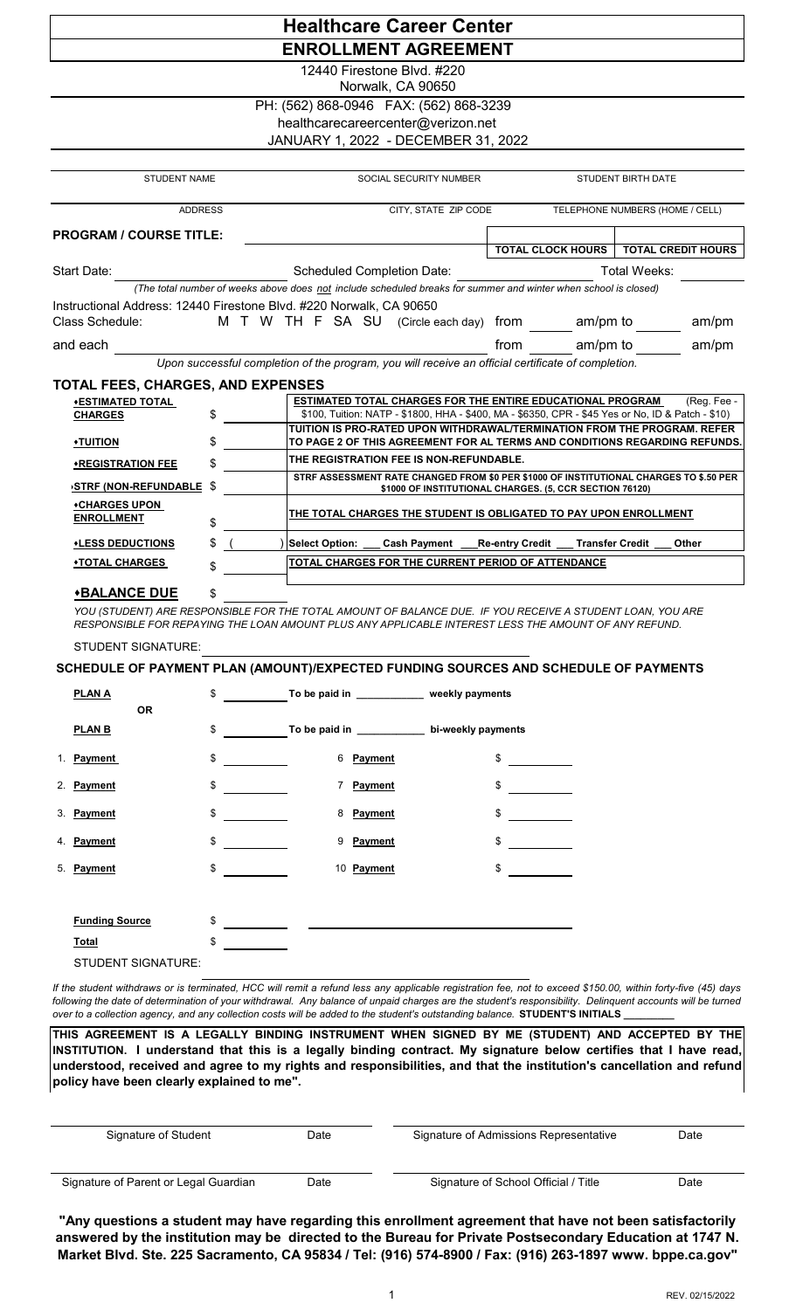| <b>Healthcare Career Center</b>                                                                    |    |                                                                                                                                                                                                                   |                                                         |                                 |  |  |  |  |  |  |  |
|----------------------------------------------------------------------------------------------------|----|-------------------------------------------------------------------------------------------------------------------------------------------------------------------------------------------------------------------|---------------------------------------------------------|---------------------------------|--|--|--|--|--|--|--|
| <b>ENROLLMENT AGREEMENT</b>                                                                        |    |                                                                                                                                                                                                                   |                                                         |                                 |  |  |  |  |  |  |  |
|                                                                                                    |    | 12440 Firestone Blvd, #220<br>Norwalk, CA 90650                                                                                                                                                                   |                                                         |                                 |  |  |  |  |  |  |  |
| PH: (562) 868-0946  FAX: (562) 868-3239                                                            |    |                                                                                                                                                                                                                   |                                                         |                                 |  |  |  |  |  |  |  |
| healthcarecareercenter@verizon.net                                                                 |    |                                                                                                                                                                                                                   |                                                         |                                 |  |  |  |  |  |  |  |
| JANUARY 1, 2022 - DECEMBER 31, 2022                                                                |    |                                                                                                                                                                                                                   |                                                         |                                 |  |  |  |  |  |  |  |
|                                                                                                    |    |                                                                                                                                                                                                                   |                                                         |                                 |  |  |  |  |  |  |  |
| <b>STUDENT NAME</b>                                                                                |    | SOCIAL SECURITY NUMBER                                                                                                                                                                                            | <b>STUDENT BIRTH DATE</b>                               |                                 |  |  |  |  |  |  |  |
| <b>ADDRESS</b>                                                                                     |    | CITY, STATE ZIP CODE                                                                                                                                                                                              |                                                         | TELEPHONE NUMBERS (HOME / CELL) |  |  |  |  |  |  |  |
| <b>PROGRAM / COURSE TITLE:</b>                                                                     |    |                                                                                                                                                                                                                   |                                                         |                                 |  |  |  |  |  |  |  |
|                                                                                                    |    |                                                                                                                                                                                                                   | <b>TOTAL CLOCK HOURS</b>                                | <b>TOTAL CREDIT HOURS</b>       |  |  |  |  |  |  |  |
| Start Date:                                                                                        |    | <b>Scheduled Completion Date:</b>                                                                                                                                                                                 |                                                         | Total Weeks:                    |  |  |  |  |  |  |  |
|                                                                                                    |    | (The total number of weeks above does not include scheduled breaks for summer and winter when school is closed)                                                                                                   |                                                         |                                 |  |  |  |  |  |  |  |
|                                                                                                    |    | Instructional Address: 12440 Firestone Blvd. #220 Norwalk, CA 90650                                                                                                                                               |                                                         |                                 |  |  |  |  |  |  |  |
| Class Schedule:                                                                                    |    | M T W TH F SA SU (Circle each day) from am/pm to                                                                                                                                                                  |                                                         | am/m                            |  |  |  |  |  |  |  |
| and each                                                                                           |    |                                                                                                                                                                                                                   | am/pm to<br>from                                        | am/m                            |  |  |  |  |  |  |  |
| Upon successful completion of the program, you will receive an official certificate of completion. |    |                                                                                                                                                                                                                   |                                                         |                                 |  |  |  |  |  |  |  |
| TOTAL FEES, CHARGES, AND EXPENSES                                                                  |    |                                                                                                                                                                                                                   |                                                         |                                 |  |  |  |  |  |  |  |
| ◆ESTIMATED TOTAL                                                                                   | \$ | ESTIMATED TOTAL CHARGES FOR THE ENTIRE EDUCATIONAL PROGRAM<br>\$100, Tuition: NATP - \$1800, HHA - \$400, MA - \$6350, CPR - \$45 Yes or No, ID & Patch - \$10)                                                   |                                                         | (Reg. Fee -                     |  |  |  |  |  |  |  |
| <b>CHARGES</b>                                                                                     |    | TUITION IS PRO-RATED UPON WITHDRAWAL/TERMINATION FROM THE PROGRAM. REFER                                                                                                                                          |                                                         |                                 |  |  |  |  |  |  |  |
| <u>•TUITION</u>                                                                                    | \$ | TO PAGE 2 OF THIS AGREEMENT FOR AL TERMS AND CONDITIONS REGARDING REFUNDS.                                                                                                                                        |                                                         |                                 |  |  |  |  |  |  |  |
| <b>*REGISTRATION FEE</b>                                                                           |    | THE REGISTRATION FEE IS NON-REFUNDABLE.                                                                                                                                                                           |                                                         |                                 |  |  |  |  |  |  |  |
| <b>STRF (NON-REFUNDABLE)</b>                                                                       | S  | STRF ASSESSMENT RATE CHANGED FROM \$0 PER \$1000 OF INSTITUTIONAL CHARGES TO \$.50 PER                                                                                                                            | \$1000 OF INSTITUTIONAL CHARGES. (5, CCR SECTION 76120) |                                 |  |  |  |  |  |  |  |
| ◆CHARGES UPON                                                                                      |    |                                                                                                                                                                                                                   |                                                         |                                 |  |  |  |  |  |  |  |
| <b>ENROLLMENT</b>                                                                                  | \$ | <u>THE TOTAL CHARGES THE STUDENT IS OBLIGATED TO PAY UPON ENROLLMENT</u>                                                                                                                                          |                                                         |                                 |  |  |  |  |  |  |  |
| <u>*LESS DEDUCTIONS</u>                                                                            | \$ | <b>Select Option:</b><br>Cash Payment                                                                                                                                                                             | <b>Re-entry Credit</b><br><b>Transfer Credit</b>        | Other                           |  |  |  |  |  |  |  |
| <b>◆TOTAL CHARGES</b>                                                                              |    | TOTAL CHARGES FOR THE CURRENT PERIOD OF ATTENDANCE                                                                                                                                                                |                                                         |                                 |  |  |  |  |  |  |  |
| <b>*BALANCE DUE</b>                                                                                | \$ |                                                                                                                                                                                                                   |                                                         |                                 |  |  |  |  |  |  |  |
|                                                                                                    |    | YOU (STUDENT) ARE RESPONSIBLE FOR THE TOTAL AMOUNT OF BALANCE DUE. IF YOU RECEIVE A STUDENT LOAN, YOU ARE<br>RESPONSIBLE FOR REPAYING THE LOAN AMOUNT PLUS ANY APPLICABLE INTEREST LESS THE AMOUNT OF ANY REFUND. |                                                         |                                 |  |  |  |  |  |  |  |
| STUDENT SIGNATURE:                                                                                 |    |                                                                                                                                                                                                                   |                                                         |                                 |  |  |  |  |  |  |  |
| SCHEDULE OF PAYMENT PLAN (AMOUNT)/EXPECTED FUNDING SOURCES AND SCHEDULE OF PAYMENTS                |    |                                                                                                                                                                                                                   |                                                         |                                 |  |  |  |  |  |  |  |
| <b>PLANA</b>                                                                                       | \$ | To be paid in ____________ weekly payments                                                                                                                                                                        |                                                         |                                 |  |  |  |  |  |  |  |
| <b>OR</b>                                                                                          |    |                                                                                                                                                                                                                   |                                                         |                                 |  |  |  |  |  |  |  |
| <b>PLAN B</b>                                                                                      | \$ | To be paid in ____________ bi-weekly payments                                                                                                                                                                     |                                                         |                                 |  |  |  |  |  |  |  |
| 1. Payment                                                                                         | \$ | 6 Payment                                                                                                                                                                                                         | $\frac{1}{2}$                                           |                                 |  |  |  |  |  |  |  |

| 2. | <b>Payment</b> | \$      | Payment    | \$ |
|----|----------------|---------|------------|----|
|    | 3. Payment     | \$<br>8 | Payment    | \$ |
|    | 4. Payment     | \$<br>9 | Payment    | S  |
|    | 5. Payment     | \$      | 10 Payment | \$ |
|    |                |         |            |    |

| <b>Funding Source</b> | S |
|-----------------------|---|
| <u>Total</u>          | S |
| STUDENT SIGNATURE:    |   |

If the student withdraws or is terminated, HCC will remit a refund less any applicable registration fee, not to exceed \$150.00, within forty-five (45) days following the date of determination of your withdrawal. Any balance of unpaid charges are the student's responsibility. Delinquent accounts will be turned *over to a collection agency, and any collection costs will be added to the student's outstanding balance.* **STUDENT'S INITIALS** 

**THIS AGREEMENT IS A LEGALLY BINDING INSTRUMENT WHEN SIGNED BY ME (STUDENT) AND ACCEPTED BY THE** INSTITUTION. I understand that this is a legally binding contract. My signature below certifies that I have read, understood, received and agree to my rights and responsibilities, and that the institution's cancellation and refund **policy have been clearly explained to me".** 

| Signature of Student                  | Date | Signature of Admissions Representative | Date |
|---------------------------------------|------|----------------------------------------|------|
| Signature of Parent or Legal Guardian | Date | Signature of School Official / Title   | Date |

**"Any questions a student may have regarding this enrollment agreement that have not been satisfactorily answered by the institution may be directed to the Bureau for Private Postsecondary Education at 1747 N. Market Blvd. Ste. 225 Sacramento, CA 95834 / Tel: (916) 574-8900 / Fax: (916) 263-1897 www. bppe.ca.gov"**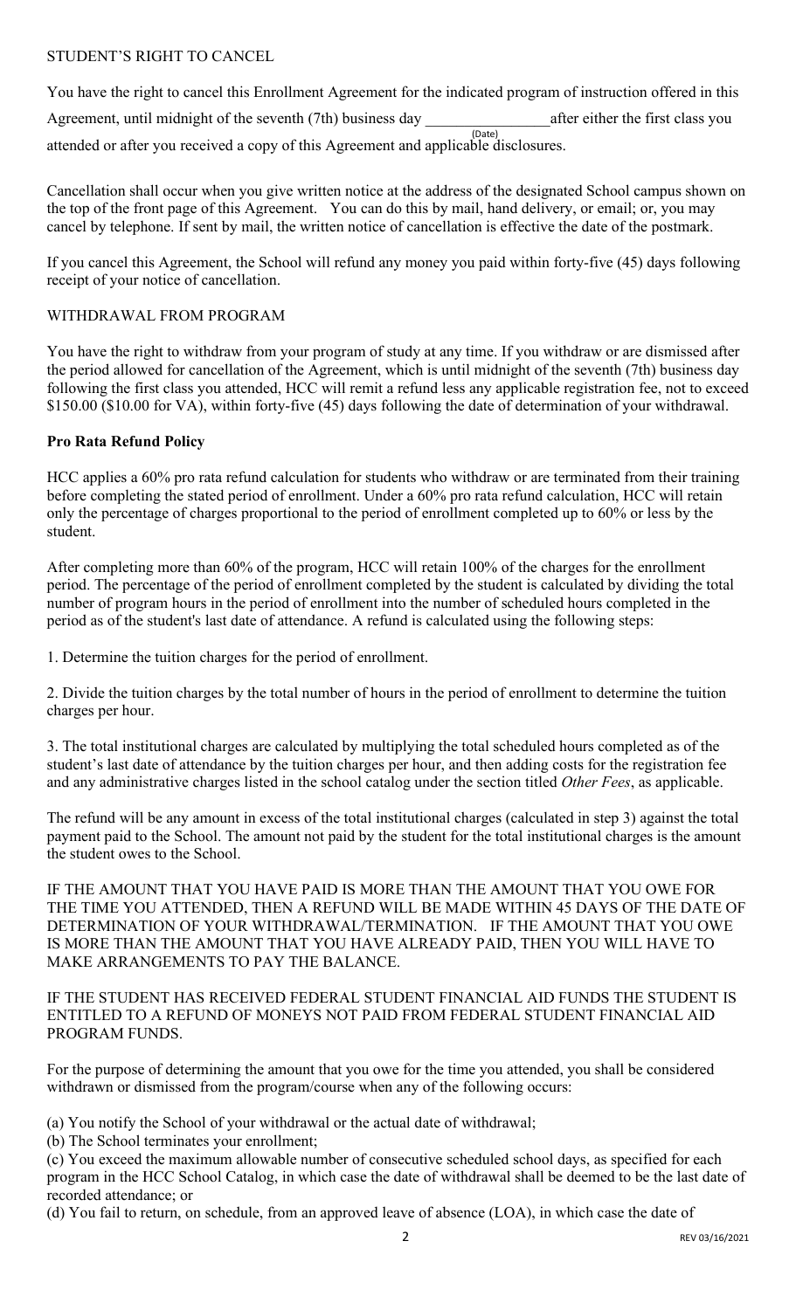# STUDENT'S RIGHT TO CANCEL

(Date) attended or after you received a copy of this Agreement and applicable disclosures. You have the right to cancel this Enrollment Agreement for the indicated program of instruction offered in this Agreement, until midnight of the seventh (7th) business day after either the first class you

Cancellation shall occur when you give written notice at the address of the designated School campus shown on the top of the front page of this Agreement. You can do this by mail, hand delivery, or email; or, you may cancel by telephone. If sent by mail, the written notice of cancellation is effective the date of the postmark.

If you cancel this Agreement, the School will refund any money you paid within forty-five (45) days following receipt of your notice of cancellation.

# WITHDRAWAL FROM PROGRAM

You have the right to withdraw from your program of study at any time. If you withdraw or are dismissed after the period allowed for cancellation of the Agreement, which is until midnight of the seventh (7th) business day following the first class you attended, HCC will remit a refund less any applicable registration fee, not to exceed \$150.00 (\$10.00 for VA), within forty-five (45) days following the date of determination of your withdrawal.

### **Pro Rata Refund Policy**

HCC applies a 60% pro rata refund calculation for students who withdraw or are terminated from their training before completing the stated period of enrollment. Under a 60% pro rata refund calculation, HCC will retain only the percentage of charges proportional to the period of enrollment completed up to 60% or less by the student.

After completing more than 60% of the program, HCC will retain 100% of the charges for the enrollment period. The percentage of the period of enrollment completed by the student is calculated by dividing the total number of program hours in the period of enrollment into the number of scheduled hours completed in the period as of the student's last date of attendance. A refund is calculated using the following steps:

1. Determine the tuition charges for the period of enrollment.

2. Divide the tuition charges by the total number of hours in the period of enrollment to determine the tuition charges per hour.

3. The total institutional charges are calculated by multiplying the total scheduled hours completed as of the student's last date of attendance by the tuition charges per hour, and then adding costs for the registration fee and any administrative charges listed in the school catalog under the section titled *Other Fees*, as applicable.

The refund will be any amount in excess of the total institutional charges (calculated in step 3) against the total payment paid to the School. The amount not paid by the student for the total institutional charges is the amount the student owes to the School.

IF THE AMOUNT THAT YOU HAVE PAID IS MORE THAN THE AMOUNT THAT YOU OWE FOR THE TIME YOU ATTENDED, THEN A REFUND WILL BE MADE WITHIN 45 DAYS OF THE DATE OF DETERMINATION OF YOUR WITHDRAWAL/TERMINATION. IF THE AMOUNT THAT YOU OWE IS MORE THAN THE AMOUNT THAT YOU HAVE ALREADY PAID, THEN YOU WILL HAVE TO MAKE ARRANGEMENTS TO PAY THE BALANCE.

IF THE STUDENT HAS RECEIVED FEDERAL STUDENT FINANCIAL AID FUNDS THE STUDENT IS ENTITLED TO A REFUND OF MONEYS NOT PAID FROM FEDERAL STUDENT FINANCIAL AID PROGRAM FUNDS.

For the purpose of determining the amount that you owe for the time you attended, you shall be considered withdrawn or dismissed from the program/course when any of the following occurs:

(a) You notify the School of your withdrawal or the actual date of withdrawal;

(b) The School terminates your enrollment;

(c) You exceed the maximum allowable number of consecutive scheduled school days, as specified for each program in the HCC School Catalog, in which case the date of withdrawal shall be deemed to be the last date of recorded attendance; or

(d) You fail to return, on schedule, from an approved leave of absence (LOA), in which case the date of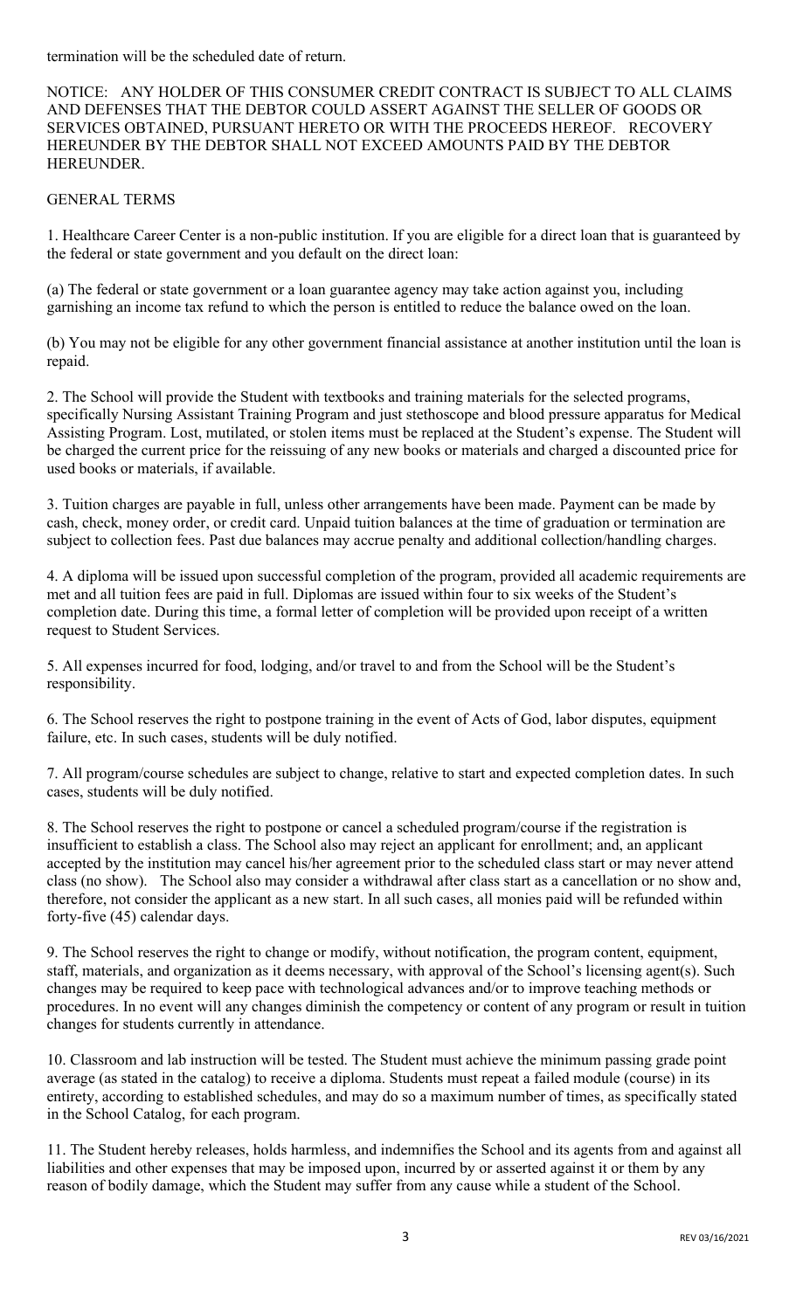termination will be the scheduled date of return.

NOTICE: ANY HOLDER OF THIS CONSUMER CREDIT CONTRACT IS SUBJECT TO ALL CLAIMS AND DEFENSES THAT THE DEBTOR COULD ASSERT AGAINST THE SELLER OF GOODS OR SERVICES OBTAINED, PURSUANT HERETO OR WITH THE PROCEEDS HEREOF. RECOVERY HEREUNDER BY THE DEBTOR SHALL NOT EXCEED AMOUNTS PAID BY THE DEBTOR HEREUNDER.

### GENERAL TERMS

1. Healthcare Career Center is a non-public institution. If you are eligible for a direct loan that is guaranteed by the federal or state government and you default on the direct loan:

(a) The federal or state government or a loan guarantee agency may take action against you, including garnishing an income tax refund to which the person is entitled to reduce the balance owed on the loan.

(b) You may not be eligible for any other government financial assistance at another institution until the loan is repaid.

2. The School will provide the Student with textbooks and training materials for the selected programs, specifically Nursing Assistant Training Program and just stethoscope and blood pressure apparatus for Medical Assisting Program. Lost, mutilated, or stolen items must be replaced at the Student's expense. The Student will be charged the current price for the reissuing of any new books or materials and charged a discounted price for used books or materials, if available.

3. Tuition charges are payable in full, unless other arrangements have been made. Payment can be made by cash, check, money order, or credit card. Unpaid tuition balances at the time of graduation or termination are subject to collection fees. Past due balances may accrue penalty and additional collection/handling charges.

4. A diploma will be issued upon successful completion of the program, provided all academic requirements are met and all tuition fees are paid in full. Diplomas are issued within four to six weeks of the Student's completion date. During this time, a formal letter of completion will be provided upon receipt of a written request to Student Services.

5. All expenses incurred for food, lodging, and/or travel to and from the School will be the Student's responsibility.

6. The School reserves the right to postpone training in the event of Acts of God, labor disputes, equipment failure, etc. In such cases, students will be duly notified.

7. All program/course schedules are subject to change, relative to start and expected completion dates. In such cases, students will be duly notified.

8. The School reserves the right to postpone or cancel a scheduled program/course if the registration is insufficient to establish a class. The School also may reject an applicant for enrollment; and, an applicant accepted by the institution may cancel his/her agreement prior to the scheduled class start or may never attend class (no show). The School also may consider a withdrawal after class start as a cancellation or no show and, therefore, not consider the applicant as a new start. In all such cases, all monies paid will be refunded within forty-five (45) calendar days.

9. The School reserves the right to change or modify, without notification, the program content, equipment, staff, materials, and organization as it deems necessary, with approval of the School's licensing agent(s). Such changes may be required to keep pace with technological advances and/or to improve teaching methods or procedures. In no event will any changes diminish the competency or content of any program or result in tuition changes for students currently in attendance.

10. Classroom and lab instruction will be tested. The Student must achieve the minimum passing grade point average (as stated in the catalog) to receive a diploma. Students must repeat a failed module (course) in its entirety, according to established schedules, and may do so a maximum number of times, as specifically stated in the School Catalog, for each program.

11. The Student hereby releases, holds harmless, and indemnifies the School and its agents from and against all liabilities and other expenses that may be imposed upon, incurred by or asserted against it or them by any reason of bodily damage, which the Student may suffer from any cause while a student of the School.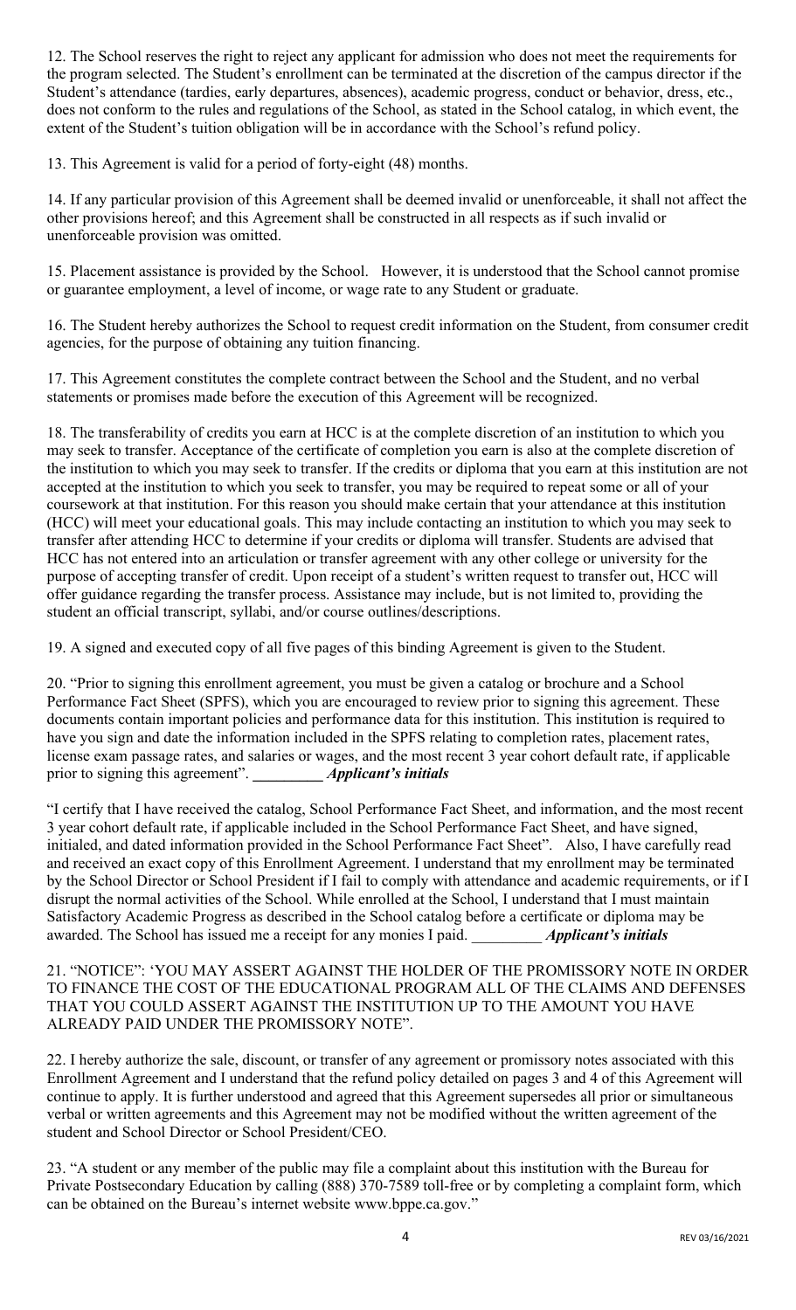12. The School reserves the right to reject any applicant for admission who does not meet the requirements for the program selected. The Student's enrollment can be terminated at the discretion of the campus director if the Student's attendance (tardies, early departures, absences), academic progress, conduct or behavior, dress, etc., does not conform to the rules and regulations of the School, as stated in the School catalog, in which event, the extent of the Student's tuition obligation will be in accordance with the School's refund policy.

13. This Agreement is valid for a period of forty-eight (48) months.

14. If any particular provision of this Agreement shall be deemed invalid or unenforceable, it shall not affect the other provisions hereof; and this Agreement shall be constructed in all respects as if such invalid or unenforceable provision was omitted.

15. Placement assistance is provided by the School. However, it is understood that the School cannot promise or guarantee employment, a level of income, or wage rate to any Student or graduate.

16. The Student hereby authorizes the School to request credit information on the Student, from consumer credit agencies, for the purpose of obtaining any tuition financing.

17. This Agreement constitutes the complete contract between the School and the Student, and no verbal statements or promises made before the execution of this Agreement will be recognized.

18. The transferability of credits you earn at HCC is at the complete discretion of an institution to which you may seek to transfer. Acceptance of the certificate of completion you earn is also at the complete discretion of the institution to which you may seek to transfer. If the credits or diploma that you earn at this institution are not accepted at the institution to which you seek to transfer, you may be required to repeat some or all of your coursework at that institution. For this reason you should make certain that your attendance at this institution (HCC) will meet your educational goals. This may include contacting an institution to which you may seek to transfer after attending HCC to determine if your credits or diploma will transfer. Students are advised that HCC has not entered into an articulation or transfer agreement with any other college or university for the purpose of accepting transfer of credit. Upon receipt of a student's written request to transfer out, HCC will offer guidance regarding the transfer process. Assistance may include, but is not limited to, providing the student an official transcript, syllabi, and/or course outlines/descriptions.

19. A signed and executed copy of all five pages of this binding Agreement is given to the Student.

20. "Prior to signing this enrollment agreement, you must be given a catalog or brochure and a School Performance Fact Sheet (SPFS), which you are encouraged to review prior to signing this agreement. These documents contain important policies and performance data for this institution. This institution is required to have you sign and date the information included in the SPFS relating to completion rates, placement rates, license exam passage rates, and salaries or wages, and the most recent 3 year cohort default rate, if applicable prior to signing this agreement". **\_\_\_\_\_\_\_\_\_** *Applicant's initials*

"I certify that I have received the catalog, School Performance Fact Sheet, and information, and the most recent 3 year cohort default rate, if applicable included in the School Performance Fact Sheet, and have signed, initialed, and dated information provided in the School Performance Fact Sheet". Also, I have carefully read and received an exact copy of this Enrollment Agreement. I understand that my enrollment may be terminated by the School Director or School President if I fail to comply with attendance and academic requirements, or if I disrupt the normal activities of the School. While enrolled at the School, I understand that I must maintain Satisfactory Academic Progress as described in the School catalog before a certificate or diploma may be awarded. The School has issued me a receipt for any monies I paid. *Applicant's initials* 

21. "NOTICE": 'YOU MAY ASSERT AGAINST THE HOLDER OF THE PROMISSORY NOTE IN ORDER TO FINANCE THE COST OF THE EDUCATIONAL PROGRAM ALL OF THE CLAIMS AND DEFENSES THAT YOU COULD ASSERT AGAINST THE INSTITUTION UP TO THE AMOUNT YOU HAVE ALREADY PAID UNDER THE PROMISSORY NOTE".

22. I hereby authorize the sale, discount, or transfer of any agreement or promissory notes associated with this Enrollment Agreement and I understand that the refund policy detailed on pages 3 and 4 of this Agreement will continue to apply. It is further understood and agreed that this Agreement supersedes all prior or simultaneous verbal or written agreements and this Agreement may not be modified without the written agreement of the student and School Director or School President/CEO.

23. "A student or any member of the public may file a complaint about this institution with the Bureau for Private Postsecondary Education by calling (888) 370-7589 toll-free or by completing a complaint form, which can be obtained on the Bureau's internet website www.bppe.ca.gov."